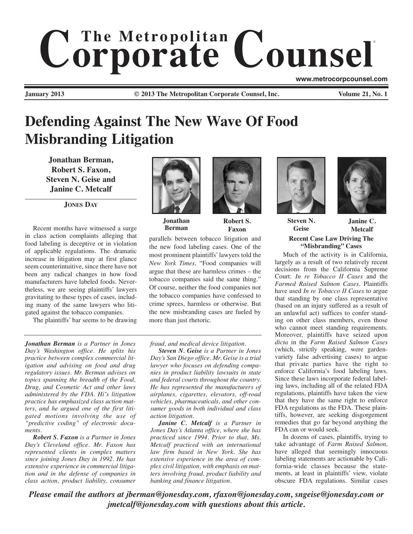# $$ ® **www.metrocorpcounsel.com**

**January 2013 © 2013 The Metropolitan Corporate Counsel, Inc. Volume 21, No. 1**

# **Defending Against The New Wave Of Food Misbranding Litigation**

**Jonathan Berman, Robert S. Faxon, Steven N. Geise and Janine C. Metcalf**

**JONES DAY**

Recent months have witnessed a surge in class action complaints alleging that food labeling is deceptive or in violation of applicable regulations. The dramatic increase in litigation may at first glance seem counterintuitive, since there have not been any radical changes in how food manufacturers have labeled foods. Nevertheless, we are seeing plaintiffs' lawyers gravitating to these types of cases, including many of the same lawyers who litigated against the tobacco companies.

The plaintiffs' bar seems to be drawing



**Jonathan Berman**

**Robert S. Faxon**

parallels between tobacco litigation and the new food labeling cases. One of the most prominent plaintiffs' lawyers told the *New York Times*, "Food companies will argue that these are harmless crimes – the tobacco companies said the same thing." Of course, neither the food companies nor the tobacco companies have confessed to crime sprees, harmless or otherwise. But the new misbranding cases are fueled by more than just rhetoric.

*fraud, and medical device litigation.* 

*Jonathan Berman is a Partner in Jones Day's Washington office. He splits his practice between complex commercial litigation and advising on food and drug regulatory issues. Mr. Berman advises on topics spanning the breadth of the Food, Drug, and Cosmetic Act and other laws administered by the FDA. Hi˜s litigation practice has emphasized class action matters, and he argued one of the first litigated motions involving the use of "predictive coding" of electronic documents.* 

*Robert S. Faxon is a Partner in Jones Day's Cleveland office. Mr. Faxon has represented clients in complex matters since joining Jones Day in 1992. He has extensive experience in commercial litigation and in the defense of companies in class action, product liability, consumer*

*Steven N. Geise is a Partner in Jones Day's San Diego office. Mr. Geise is a trial lawyer who focuses on defending companies in product liability lawsuits in state and federal courts throughout the country. He has represented the manufacturers of airplanes, cigarettes, elevators, off-road vehicles, pharmaceuticals, and other consumer goods in both individual and class action litigation.* 

*Janine C. Metcalf is a Partner in Jones Day's Atlanta office, where she has practiced since 1994. Prior to that, Ms. Metcalf practiced with an international law firm based in New York. She has extensive experience in the area of complex civil litigation, with emphasis on matters involving fraud, product liability and banking and finance litigation.*





**Steven N. Geise**

**Janine C. Metcalf**

## **Recent Case Law Driving The "Misbranding" Cases**

Much of the activity is in California, largely as a result of two relatively recent decisions from the California Supreme Court: *In re Tobacco II Cases* and the *Farmed Raised Salmon Cases*. Plaintiffs have used *In re Tobacco II Cases* to argue that standing by one class representative (based on an injury suffered as a result of an unlawful act) suffices to confer standing on other class members, even those who cannot meet standing requirements. Moreover, plaintiffs have seized upon *dicta* in the *Farm Raised Salmon Cases* (which, strictly speaking, were gardenvariety false advertising cases) to argue that private parties have the right to enforce California's food labeling laws. Since these laws incorporate federal labeling laws, including all of the related FDA regulations, plaintiffs have taken the view that they have the same right to enforce FDA regulations as the FDA. These plaintiffs, however, are seeking disgorgement remedies that go far beyond anything the FDA can or would seek.

In dozens of cases, plaintiffs, trying to take advantage of *Farm Raised Salmon*, have alleged that seemingly innocuous labeling statements are actionable by California-wide classes because the statements, at least in plaintiffs' view, violate obscure FDA regulations. Similar cases

*Please email the authors at jberman@jonesday.com, rfaxon@jonesday.com, sngeise@jonesday.com or jmetcalf@jonesday.com with questions about this article.*